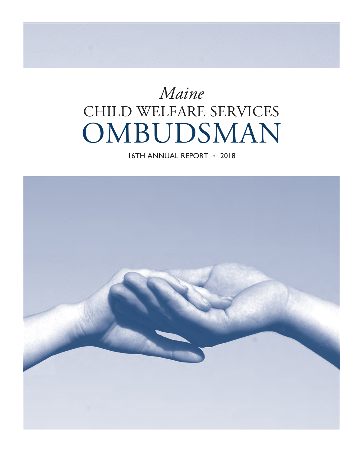## *Maine*  CHILD WELFARE SERVICES OMBUDSMAN

16TH ANNUAL REPORT • 2018

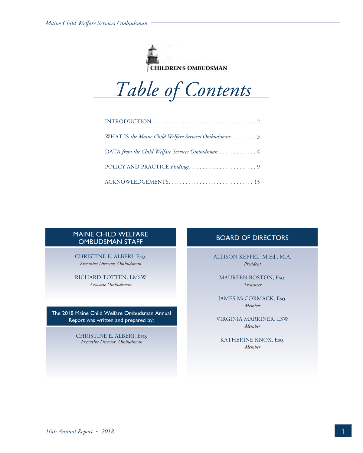



| WHAT IS the Maine Child Welfare Services Ombudsman?  3 |
|--------------------------------------------------------|
| DATA from the Child Welfare Services Ombudsman  4      |
|                                                        |
|                                                        |

#### MAINE CHILD WELFARE OMBUDSMAN STAFF

CHRISTINE E. ALBERI, Eso. *Executive Director, Ombudsman*

RICHARD TOTTEN, LMSW *Associate Ombudsman*

The 2018 Maine Child Welfare Ombudsman Annual Report was written and prepared by:

> CHRISTINE E. ALBERI, Esq. *Executive Director, Ombudsman*

#### BOARD OF DIRECTORS

ALLISON KEPPEL, M.Ed., M.A. *President*

MAUREEN BOSTON, Esq. *Treasurer*

JAMES McCORMACK, Esq. *Member*

VIRGINIA MARRINER, LSW *Member*

KATHERINE KNOX, Eso. *Member*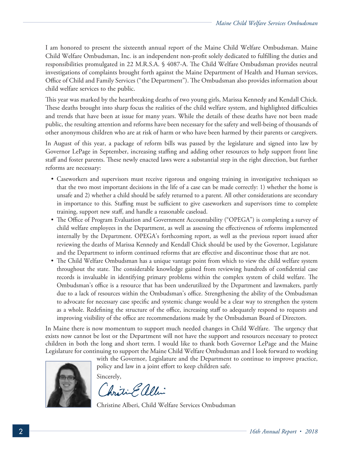I am honored to present the sixteenth annual report of the Maine Child Welfare Ombudsman. Maine Child Welfare Ombudsman, Inc. is an independent non-profit solely dedicated to fulfilling the duties and responsibilities promulgated in 22 M.R.S.A. § 4087-A. The Child Welfare Ombudsman provides neutral investigations of complaints brought forth against the Maine Department of Health and Human services, Office of Child and Family Services ("the Department"). The Ombudsman also provides information about child welfare services to the public.

This year was marked by the heartbreaking deaths of two young girls, Marissa Kennedy and Kendall Chick. These deaths brought into sharp focus the realities of the child welfare system, and highlighted difficulties and trends that have been at issue for many years. While the details of these deaths have not been made public, the resulting attention and reforms have been necessary for the safety and well-being of thousands of other anonymous children who are at risk of harm or who have been harmed by their parents or caregivers.

In August of this year, a package of reform bills was passed by the legislature and signed into law by Governor LePage in September, increasing staffing and adding other resources to help support front line staff and foster parents. These newly enacted laws were a substantial step in the right direction, but further reforms are necessary:

- Caseworkers and supervisors must receive rigorous and ongoing training in investigative techniques so that the two most important decisions in the life of a case can be made correctly: 1) whether the home is unsafe and 2) whether a child should be safely returned to a parent. All other considerations are secondary in importance to this. Staffing must be sufficient to give caseworkers and supervisors time to complete training, support new staff, and handle a reasonable caseload.
- The Office of Program Evaluation and Government Accountability ("OPEGA") is completing a survey of child welfare employees in the Department, as well as assessing the effectiveness of reforms implemented internally by the Department. OPEGA's forthcoming report, as well as the previous report issued after reviewing the deaths of Marissa Kennedy and Kendall Chick should be used by the Governor, Legislature and the Department to inform continued reforms that are effective and discontinue those that are not.
- The Child Welfare Ombudsman has a unique vantage point from which to view the child welfare system throughout the state. The considerable knowledge gained from reviewing hundreds of confidential case records is invaluable in identifying primary problems within the complex system of child welfare. The Ombudsman's office is a resource that has been underutilized by the Department and lawmakers, partly due to a lack of resources within the Ombudsman's office. Strengthening the ability of the Ombudsman to advocate for necessary case specific and systemic change would be a clear way to strengthen the system as a whole. Redefining the structure of the office, increasing staff to adequately respond to requests and improving visibility of the office are recommendations made by the Ombudsman Board of Directors.

In Maine there is now momentum to support much needed changes in Child Welfare. The urgency that exists now cannot be lost or the Department will not have the support and resources necessary to protect children in both the long and short term. I would like to thank both Governor LePage and the Maine Legislature for continuing to support the Maine Child Welfare Ombudsman and I look forward to working

with the Governor, Legislature and the Department to continue to improve practice, policy and law in a joint effort to keep children safe.



Sincerely,

Christine allin

Christine Alberi, Child Welfare Services Ombudsman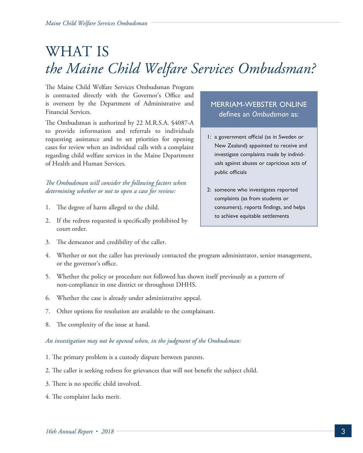## WHAT IS *the Maine Child Welfare Services Ombudsman?*

The Maine Child Welfare Services Ombudsman Program is contracted directly with the Governor's Office and is overseen by the Department of Administrative and Financial Services.

The Ombudsman is authorized by 22 M.R.S.A. §4087-A to provide information and referrals to individuals requesting assistance and to set priorities for opening cases for review when an individual calls with a complaint regarding child welfare services in the Maine Department of Health and Human Services.

#### *The Ombudsman will consider the following factors when determining whether or not to open a case for review:*

- 1. The degree of harm alleged to the child.
- 2. If the redress requested is specifically prohibited by court order.
- 3. The demeanor and credibility of the caller.

#### MERRIAM-WEBSTER ONLINE defines an *Ombudsman* as:

- 1: a government official (as in Sweden or New Zealand) appointed to receive and investigate complaints made by individuals against abuses or capricious acts of public officials
- 2: someone who investigates reported complaints (as from students or consumers), reports findings, and helps to achieve equitable settlements
- 4. Whether or not the caller has previously contacted the program administrator, senior management, or the governor's office.
- 5. Whether the policy or procedure not followed has shown itself previously as a pattern of non-compliance in one district or throughout DHHS.
- 6. Whether the case is already under administrative appeal.
- 7. Other options for resolution are available to the complainant.
- 8. The complexity of the issue at hand.

#### *An investigation may not be opened when, in the judgment of the Ombudsman:*

- 1. The primary problem is a custody dispute between parents.
- 2. The caller is seeking redress for grievances that will not benefit the subject child.
- 3. There is no specific child involved.
- 4. The complaint lacks merit.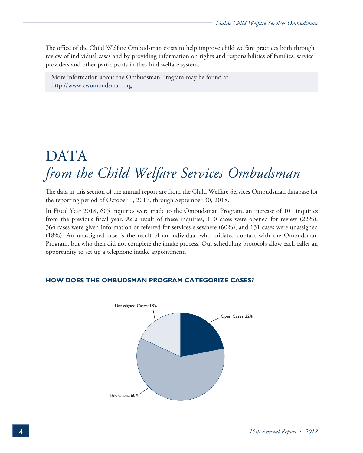The office of the Child Welfare Ombudsman exists to help improve child welfare practices both through review of individual cases and by providing information on rights and responsibilities of families, service providers and other participants in the child welfare system.

More information about the Ombudsman Program may be found at http://www.cwombudsman.org

## DATA *from the Child Welfare Services Ombudsman*

The data in this section of the annual report are from the Child Welfare Services Ombudsman database for the reporting period of October 1, 2017, through September 30, 2018.

In Fiscal Year 2018, 605 inquiries were made to the Ombudsman Program, an increase of 101 inquiries from the previous fiscal year. As a result of these inquiries, 110 cases were opened for review (22%), 364 cases were given information or referred for services elsewhere (60%), and 131 cases were unassigned (18%). An unassigned case is the result of an individual who initiated contact with the Ombudsman Program, but who then did not complete the intake process. Our scheduling protocols allow each caller an opportunity to set up a telephone intake appointment.

# Unassigned Cases: 18% I&R Cases: 60% Open Cases: 22%

#### **HOW DOES THE OMBUDSMAN PROGRAM CATEGORIZE CASES?**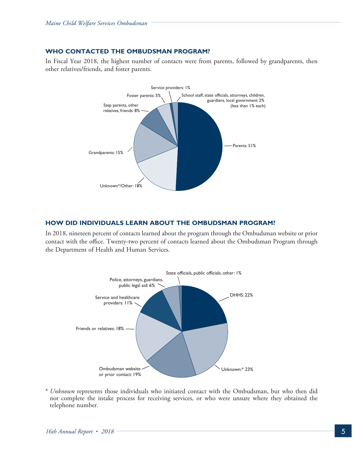#### **WHO CONTACTED THE OMBUDSMAN PROGRAM?**

In Fiscal Year 2018, the highest number of contacts were from parents, followed by grandparents, then other relatives/friends, and foster parents.



#### **HOW DID INDIVIDUALS LEARN ABOUT THE OMBUDSMAN PROGRAM?**

In 2018, nineteen percent of contacts learned about the program through the Ombudsman website or prior contact with the office. Twenty-two percent of contacts learned about the Ombudsman Program through the Department of Health and Human Services.



\* *Unknown* represents those individuals who initiated contact with the Ombudsman, but who then did not complete the intake process for receiving services, or who were unsure where they obtained the telephone number.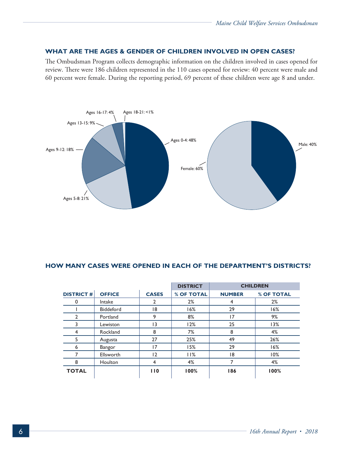#### **WHAT ARE THE AGES & GENDER OF CHILDREN INVOLVED IN OPEN CASES?**

The Ombudsman Program collects demographic information on the children involved in cases opened for review. There were 186 children represented in the 110 cases opened for review: 40 percent were male and 60 percent were female. During the reporting period, 69 percent of these children were age 8 and under.



#### **HOW MANY CASES WERE OPENED IN EACH OF THE DEPARTMENT'S DISTRICTS?**

|                  |               |              | <b>DISTRICT</b> | <b>CHILDREN</b> |            |
|------------------|---------------|--------------|-----------------|-----------------|------------|
| <b>DISTRICT#</b> | <b>OFFICE</b> | <b>CASES</b> | % OF TOTAL      | <b>NUMBER</b>   | % OF TOTAL |
| 0                | Intake        | 2            | 2%              | 4               | 2%         |
|                  | Biddeford     | 18           | 16%             | 29              | 16%        |
| 2                | Portland      | 9            | 8%              | 17              | 9%         |
| 3                | Lewiston      | 13           | 12%             | 25              | 13%        |
| 4                | Rockland      | 8            | 7%              | 8               | 4%         |
| 5                | Augusta       | 27           | 25%             | 49              | 26%        |
| 6                | <b>Bangor</b> | 17           | 15%             | 29              | 16%        |
| 7                | Ellsworth     | 12           | 11%             | 18              | 10%        |
| 8                | Houlton       | 4            | 4%              |                 | 4%         |
| <b>TOTAL</b>     |               | 110          | 100%            | 186             | 100%       |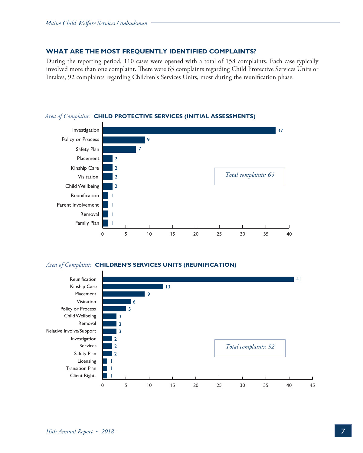#### **WHAT ARE THE MOST FREQUENTLY IDENTIFIED COMPLAINTS?**

During the reporting period, 110 cases were opened with a total of 158 complaints. Each case typically involved more than one complaint. There were 65 complaints regarding Child Protective Services Units or Intakes, 92 complaints regarding Children's Services Units, most during the reunification phase.



#### *Area of Complaint:* **CHILD PROTECTIVE SERVICES (INITIAL ASSESSMENTS)**

#### *Area of Complaint:* **CHILDREN'S SERVICES UNITS (REUNIFICATION)**

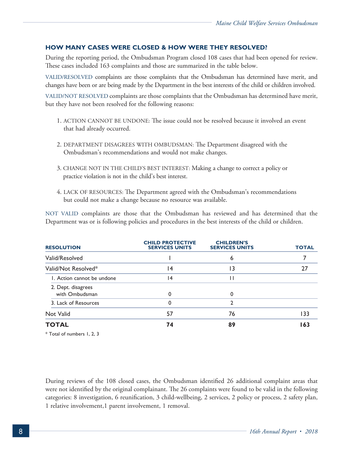#### **HOW MANY CASES WERE CLOSED & HOW WERE THEY RESOLVED?**

During the reporting period, the Ombudsman Program closed 108 cases that had been opened for review. These cases included 163 complaints and those are summarized in the table below.

VALID/RESOLVED complaints are those complaints that the Ombudsman has determined have merit, and changes have been or are being made by the Department in the best interests of the child or children involved.

VALID/NOT RESOLVED complaints are those complaints that the Ombudsman has determined have merit, but they have not been resolved for the following reasons:

- 1. ACTION CANNOT BE UNDONE: The issue could not be resolved because it involved an event that had already occurred.
- 2. DEPARTMENT DISAGREES WITH OMBUDSMAN: The Department disagreed with the Ombudsman's recommendations and would not make changes.
- 3. CHANGE NOT IN THE CHILD'S BEST INTEREST: Making a change to correct a policy or practice violation is not in the child's best interest.
- 4. LACK OF RESOURCES: The Department agreed with the Ombudsman's recommendations but could not make a change because no resource was available.

NOT VALID complaints are those that the Ombudsman has reviewed and has determined that the Department was or is following policies and procedures in the best interests of the child or children.

| <b>RESOLUTION</b>                                                                                        | <b>CHILD PROTECTIVE</b><br><b>SERVICES UNITS</b> | <b>CHILDREN'S</b><br><b>SERVICES UNITS</b> | <b>TOTAL</b> |  |
|----------------------------------------------------------------------------------------------------------|--------------------------------------------------|--------------------------------------------|--------------|--|
| Valid/Resolved                                                                                           |                                                  | 6                                          |              |  |
| Valid/Not Resolved*                                                                                      | $\overline{14}$                                  | 13                                         | 27           |  |
| 1. Action cannot be undone                                                                               | 4                                                | П                                          |              |  |
| 2. Dept. disagrees<br>with Ombudsman                                                                     | 0                                                | 0                                          |              |  |
| 3. Lack of Resources                                                                                     | 0                                                | 2                                          |              |  |
| Not Valid                                                                                                | 57                                               | 76                                         | 133          |  |
| <b>TOTAL</b>                                                                                             | 74                                               | 89                                         | 163          |  |
| $\begin{array}{cccccccccccccc} \cdots & \cdots & \cdots & \cdots & \cdots & \cdots & \cdots \end{array}$ |                                                  |                                            |              |  |

\* Total of numbers 1, 2, 3

During reviews of the 108 closed cases, the Ombudsman identified 26 additional complaint areas that were not identified by the original complainant. The 26 complaints were found to be valid in the following categories: 8 investigation, 6 reunification, 3 child-wellbeing, 2 services, 2 policy or process, 2 safety plan, 1 relative involvement,1 parent involvement, 1 removal.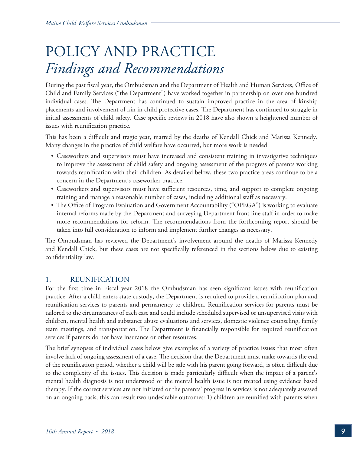## POLICY AND PRACTICE *Findings and Recommendations*

During the past fiscal year, the Ombudsman and the Department of Health and Human Services, Office of Child and Family Services ("the Department") have worked together in partnership on over one hundred individual cases. The Department has continued to sustain improved practice in the area of kinship placements and involvement of kin in child protective cases. The Department has continued to struggle in initial assessments of child safety. Case specific reviews in 2018 have also shown a heightened number of issues with reunification practice.

This has been a difficult and tragic year, marred by the deaths of Kendall Chick and Marissa Kennedy. Many changes in the practice of child welfare have occurred, but more work is needed.

- Caseworkers and supervisors must have increased and consistent training in investigative techniques to improve the assessment of child safety and ongoing assessment of the progress of parents working towards reunification with their children. As detailed below, these two practice areas continue to be a concern in the Department's caseworker practice.
- Caseworkers and supervisors must have sufficient resources, time, and support to complete ongoing training and manage a reasonable number of cases, including additional staff as necessary.
- The Office of Program Evaluation and Government Accountability ("OPEGA") is working to evaluate internal reforms made by the Department and surveying Department front line staff in order to make more recommendations for reform. The recommendations from the forthcoming report should be taken into full consideration to inform and implement further changes as necessary.

The Ombudsman has reviewed the Department's involvement around the deaths of Marissa Kennedy and Kendall Chick, but these cases are not specifically referenced in the sections below due to existing confidentiality law.

#### 1. REUNIFICATION

For the first time in Fiscal year 2018 the Ombudsman has seen significant issues with reunification practice. After a child enters state custody, the Department is required to provide a reunification plan and reunification services to parents and permanency to children. Reunification services for parents must be tailored to the circumstances of each case and could include scheduled supervised or unsupervised visits with children, mental health and substance abuse evaluations and services, domestic violence counseling, family team meetings, and transportation. The Department is financially responsible for required reunification services if parents do not have insurance or other resources.

The brief synopses of individual cases below give examples of a variety of practice issues that most often involve lack of ongoing assessment of a case. The decision that the Department must make towards the end of the reunification period, whether a child will be safe with his parent going forward, is often difficult due to the complexity of the issues. This decision is made particularly difficult when the impact of a parent's mental health diagnosis is not understood or the mental health issue is not treated using evidence based therapy. If the correct services are not initiated or the parents' progress in services is not adequately assessed on an ongoing basis, this can result two undesirable outcomes: 1) children are reunified with parents when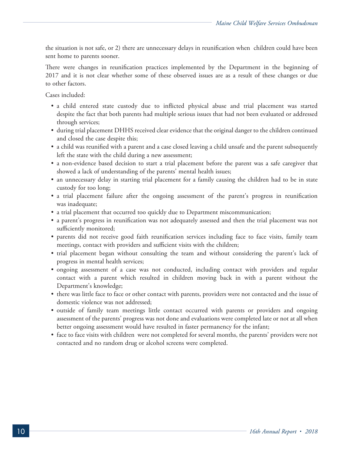the situation is not safe, or 2) there are unnecessary delays in reunification when children could have been sent home to parents sooner.

There were changes in reunification practices implemented by the Department in the beginning of 2017 and it is not clear whether some of these observed issues are as a result of these changes or due to other factors.

Cases included:

- a child entered state custody due to inflicted physical abuse and trial placement was started despite the fact that both parents had multiple serious issues that had not been evaluated or addressed through services;
- during trial placement DHHS received clear evidence that the original danger to the children continued and closed the case despite this;
- a child was reunified with a parent and a case closed leaving a child unsafe and the parent subsequently left the state with the child during a new assessment;
- a non-evidence based decision to start a trial placement before the parent was a safe caregiver that showed a lack of understanding of the parents' mental health issues;
- an unnecessary delay in starting trial placement for a family causing the children had to be in state custody for too long;
- a trial placement failure after the ongoing assessment of the parent's progress in reunification was inadequate;
- a trial placement that occurred too quickly due to Department miscommunication;
- a parent's progress in reunification was not adequately assessed and then the trial placement was not sufficiently monitored;
- parents did not receive good faith reunification services including face to face visits, family team meetings, contact with providers and sufficient visits with the children;
- trial placement began without consulting the team and without considering the parent's lack of progress in mental health services;
- ongoing assessment of a case was not conducted, including contact with providers and regular contact with a parent which resulted in children moving back in with a parent without the Department's knowledge;
- there was little face to face or other contact with parents, providers were not contacted and the issue of domestic violence was not addressed;
- outside of family team meetings little contact occurred with parents or providers and ongoing assessment of the parents' progress was not done and evaluations were completed late or not at all when better ongoing assessment would have resulted in faster permanency for the infant;
- face to face visits with children were not completed for several months, the parents' providers were not contacted and no random drug or alcohol screens were completed.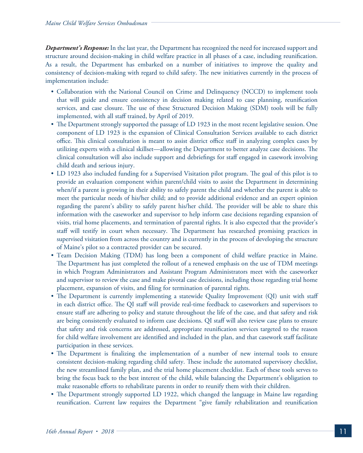**Department's Response:** In the last year, the Department has recognized the need for increased support and structure around decision-making in child welfare practice in all phases of a case, including reunification. As a result, the Department has embarked on a number of initiatives to improve the quality and consistency of decision-making with regard to child safety. The new initiatives currently in the process of implementation include:

- Collaboration with the National Council on Crime and Delinquency (NCCD) to implement tools that will guide and ensure consistency in decision making related to case planning, reunification services, and case closure. The use of these Structured Decision Making (SDM) tools will be fully implemented, with all staff trained, by April of 2019.
- The Department strongly supported the passage of LD 1923 in the most recent legislative session. One component of LD 1923 is the expansion of Clinical Consultation Services available to each district office. This clinical consultation is meant to assist district office staff in analyzing complex cases by utilizing experts with a clinical skillset—allowing the Department to better analyze case decisions. The clinical consultation will also include support and debriefings for staff engaged in casework involving child death and serious injury.
- LD 1923 also included funding for a Supervised Visitation pilot program. The goal of this pilot is to provide an evaluation component within parent/child visits to assist the Department in determining when/if a parent is growing in their ability to safely parent the child and whether the parent is able to meet the particular needs of his/her child; and to provide additional evidence and an expert opinion regarding the parent's ability to safely parent his/her child. The provider will be able to share this information with the caseworker and supervisor to help inform case decisions regarding expansion of visits, trial home placements, and termination of parental rights. It is also expected that the provider's staff will testify in court when necessary. The Department has researched promising practices in supervised visitation from across the country and is currently in the process of developing the structure of Maine's pilot so a contracted provider can be secured.
- Team Decision Making (TDM) has long been a component of child welfare practice in Maine. The Department has just completed the rollout of a renewed emphasis on the use of TDM meetings in which Program Administrators and Assistant Program Administrators meet with the caseworker and supervisor to review the case and make pivotal case decisions, including those regarding trial home placement, expansion of visits, and filing for termination of parental rights.
- The Department is currently implementing a statewide Quality Improvement (QI) unit with staff in each district office. The QI staff will provide real-time feedback to caseworkers and supervisors to ensure staff are adhering to policy and statute throughout the life of the case, and that safety and risk are being consistently evaluated to inform case decisions. QI staff will also review case plans to ensure that safety and risk concerns are addressed, appropriate reunification services targeted to the reason for child welfare involvement are identified and included in the plan, and that casework staff facilitate participation in these services.
- The Department is finalizing the implementation of a number of new internal tools to ensure consistent decision-making regarding child safety. These include the automated supervisory checklist, the new streamlined family plan, and the trial home placement checklist. Each of these tools serves to bring the focus back to the best interest of the child, while balancing the Department's obligation to make reasonable efforts to rehabilitate parents in order to reunify them with their children.
- The Department strongly supported LD 1922, which changed the language in Maine law regarding reunification. Current law requires the Department "give family rehabilitation and reunification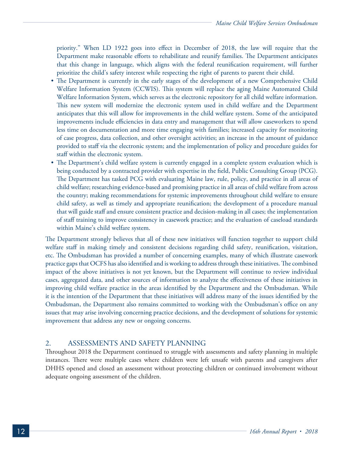priority." When LD 1922 goes into effect in December of 2018, the law will require that the Department make reasonable efforts to rehabilitate and reunify families. The Department anticipates that this change in language, which aligns with the federal reunification requirement, will further prioritize the child's safety interest while respecting the right of parents to parent their child.

- The Department is currently in the early stages of the development of a new Comprehensive Child Welfare Information System (CCWIS). This system will replace the aging Maine Automated Child Welfare Information System, which serves as the electronic repository for all child welfare information. This new system will modernize the electronic system used in child welfare and the Department anticipates that this will allow for improvements in the child welfare system. Some of the anticipated improvements include efficiencies in data entry and management that will allow caseworkers to spend less time on documentation and more time engaging with families; increased capacity for monitoring of case progress, data collection, and other oversight activities; an increase in the amount of guidance provided to staff via the electronic system; and the implementation of policy and procedure guides for staff within the electronic system.
- The Department's child welfare system is currently engaged in a complete system evaluation which is being conducted by a contracted provider with expertise in the field, Public Consulting Group (PCG). The Department has tasked PCG with evaluating Maine law, rule, policy, and practice in all areas of child welfare; researching evidence-based and promising practice in all areas of child welfare from across the country; making recommendations for systemic improvements throughout child welfare to ensure child safety, as well as timely and appropriate reunification; the development of a procedure manual that will guide staff and ensure consistent practice and decision-making in all cases; the implementation of staff training to improve consistency in casework practice; and the evaluation of caseload standards within Maine's child welfare system.

The Department strongly believes that all of these new initiatives will function together to support child welfare staff in making timely and consistent decisions regarding child safety, reunification, visitation, etc. The Ombudsman has provided a number of concerning examples, many of which illustrate casework practice gaps that OCFS has also identified and is working to address through these initiatives. The combined impact of the above initiatives is not yet known, but the Department will continue to review individual cases, aggregated data, and other sources of information to analyze the effectiveness of these initiatives in improving child welfare practice in the areas identified by the Department and the Ombudsman. While it is the intention of the Department that these initiatives will address many of the issues identified by the Ombudsman, the Department also remains committed to working with the Ombudsman's office on any issues that may arise involving concerning practice decisions, and the development of solutions for systemic improvement that address any new or ongoing concerns.

#### 2. ASSESSMENTS AND SAFETY PLANNING

Throughout 2018 the Department continued to struggle with assessments and safety planning in multiple instances. There were multiple cases where children were left unsafe with parents and caregivers after DHHS opened and closed an assessment without protecting children or continued involvement without adequate ongoing assessment of the children.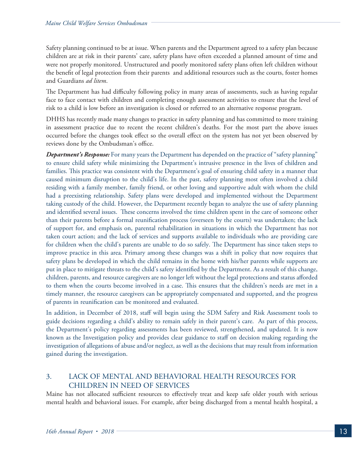Safety planning continued to be at issue. When parents and the Department agreed to a safety plan because children are at risk in their parents' care, safety plans have often exceeded a planned amount of time and were not properly monitored. Unstructured and poorly monitored safety plans often left children without the benefit of legal protection from their parents and additional resources such as the courts, foster homes and Guardians *ad litem*.

The Department has had difficulty following policy in many areas of assessments, such as having regular face to face contact with children and completing enough assessment activities to ensure that the level of risk to a child is low before an investigation is closed or referred to an alternative response program.

DHHS has recently made many changes to practice in safety planning and has committed to more training in assessment practice due to recent the recent children's deaths. For the most part the above issues occurred before the changes took effect so the overall effect on the system has not yet been observed by reviews done by the Ombudsman's office.

**Department's Response:** For many years the Department has depended on the practice of "safety planning" to ensure child safety while minimizing the Department's intrusive presence in the lives of children and families. This practice was consistent with the Department's goal of ensuring child safety in a manner that caused minimum disruption to the child's life. In the past, safety planning most often involved a child residing with a family member, family friend, or other loving and supportive adult with whom the child had a preexisting relationship. Safety plans were developed and implemented without the Department taking custody of the child. However, the Department recently began to analyze the use of safety planning and identified several issues. These concerns involved the time children spent in the care of someone other than their parents before a formal reunification process (overseen by the courts) was undertaken; the lack of support for, and emphasis on, parental rehabilitation in situations in which the Department has not taken court action; and the lack of services and supports available to individuals who are providing care for children when the child's parents are unable to do so safely. The Department has since taken steps to improve practice in this area. Primary among these changes was a shift in policy that now requires that safety plans be developed in which the child remains in the home with his/her parents while supports are put in place to mitigate threats to the child's safety identified by the Department. As a result of this change, children, parents, and resource caregivers are no longer left without the legal protections and status afforded to them when the courts become involved in a case. This ensures that the children's needs are met in a timely manner, the resource caregivers can be appropriately compensated and supported, and the progress of parents in reunification can be monitored and evaluated.

In addition, in December of 2018, staff will begin using the SDM Safety and Risk Assessment tools to guide decisions regarding a child's ability to remain safely in their parent's care. As part of this process, the Department's policy regarding assessments has been reviewed, strengthened, and updated. It is now known as the Investigation policy and provides clear guidance to staff on decision making regarding the investigation of allegations of abuse and/or neglect, as well as the decisions that may result from information gained during the investigation.

#### 3. LACK OF MENTAL AND BEHAVIORAL HEALTH RESOURCES FOR CHILDREN IN NEED OF SERVICES

Maine has not allocated sufficient resources to effectively treat and keep safe older youth with serious mental health and behavioral issues. For example, after being discharged from a mental health hospital, a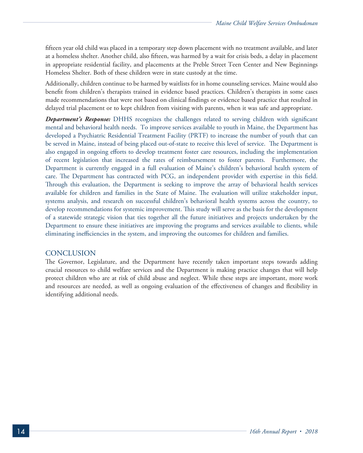fifteen year old child was placed in a temporary step down placement with no treatment available, and later at a homeless shelter. Another child, also fifteen, was harmed by a wait for crisis beds, a delay in placement in appropriate residential facility, and placements at the Preble Street Teen Center and New Beginnings Homeless Shelter. Both of these children were in state custody at the time.

Additionally, children continue to be harmed by waitlists for in home counseling services. Maine would also benefit from children's therapists trained in evidence based practices. Children's therapists in some cases made recommendations that were not based on clinical findings or evidence based practice that resulted in delayed trial placement or to kept children from visiting with parents, when it was safe and appropriate.

*Department's Response:* DHHS recognizes the challenges related to serving children with significant mental and behavioral health needs. To improve services available to youth in Maine, the Department has developed a Psychiatric Residential Treatment Facility (PRTF) to increase the number of youth that can be served in Maine, instead of being placed out-of-state to receive this level of service. The Department is also engaged in ongoing efforts to develop treatment foster care resources, including the implementation of recent legislation that increased the rates of reimbursement to foster parents. Furthermore, the Department is currently engaged in a full evaluation of Maine's children's behavioral health system of care. The Department has contracted with PCG, an independent provider with expertise in this field. Through this evaluation, the Department is seeking to improve the array of behavioral health services available for children and families in the State of Maine. The evaluation will utilize stakeholder input, systems analysis, and research on successful children's behavioral health systems across the country, to develop recommendations for systemic improvement. This study will serve as the basis for the development of a statewide strategic vision that ties together all the future initiatives and projects undertaken by the Department to ensure these initiatives are improving the programs and services available to clients, while eliminating inefficiencies in the system, and improving the outcomes for children and families.

#### **CONCLUSION**

The Governor, Legislature, and the Department have recently taken important steps towards adding crucial resources to child welfare services and the Department is making practice changes that will help protect children who are at risk of child abuse and neglect. While these steps are important, more work and resources are needed, as well as ongoing evaluation of the effectiveness of changes and flexibility in identifying additional needs.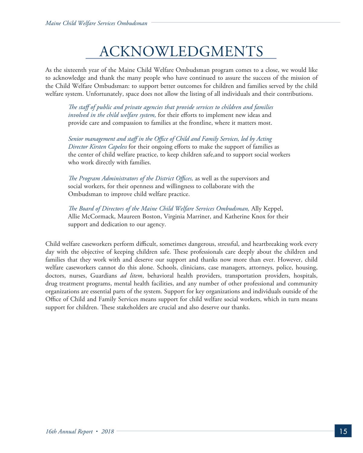### ACKNOWLEDGMENTS

As the sixteenth year of the Maine Child Welfare Ombudsman program comes to a close, we would like to acknowledge and thank the many people who have continued to assure the success of the mission of the Child Welfare Ombudsman: to support better outcomes for children and families served by the child welfare system. Unfortunately, space does not allow the listing of all individuals and their contributions.

 *The staff of public and private agencies that provide services to children and families involved in the child welfare system,* for their efforts to implement new ideas and provide care and compassion to families at the frontline, where it matters most.

 *Senior management and staff in the Office of Child and Family Services, led by Acting Director Kirsten Capeless* for their ongoing efforts to make the support of families as the center of child welfare practice, to keep children safe,and to support social workers who work directly with families.

*The Program Administrators of the District Offices,* as well as the supervisors and social workers, for their openness and willingness to collaborate with the Ombudsman to improve child welfare practice.

*The Board of Directors of the Maine Child Welfare Services Ombudsman,* Ally Keppel, Allie McCormack, Maureen Boston, Virginia Marriner, and Katherine Knox for their support and dedication to our agency.

Child welfare caseworkers perform difficult, sometimes dangerous, stressful, and heartbreaking work every day with the objective of keeping children safe. These professionals care deeply about the children and families that they work with and deserve our support and thanks now more than ever. However, child welfare caseworkers cannot do this alone. Schools, clinicians, case managers, attorneys, police, housing, doctors, nurses, Guardians *ad litem*, behavioral health providers, transportation providers, hospitals, drug treatment programs, mental health facilities, and any number of other professional and community organizations are essential parts of the system. Support for key organizations and individuals outside of the Office of Child and Family Services means support for child welfare social workers, which in turn means support for children. These stakeholders are crucial and also deserve our thanks.